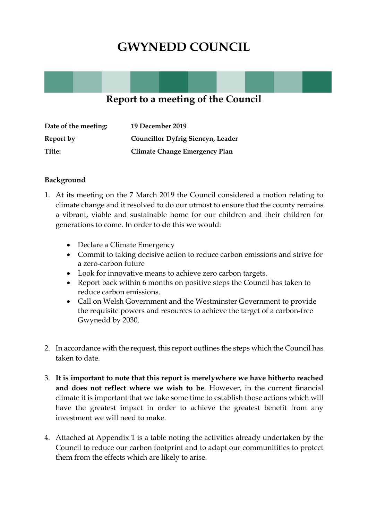## **GWYNEDD COUNCIL**

### **Report to a meeting of the Council**

| Date of the meeting: | 19 December 2019                         |
|----------------------|------------------------------------------|
| Report by            | <b>Councillor Dyfrig Siencyn, Leader</b> |
| Title:               | Climate Change Emergency Plan            |

#### **Background**

- 1. At its meeting on the 7 March 2019 the Council considered a motion relating to climate change and it resolved to do our utmost to ensure that the county remains a vibrant, viable and sustainable home for our children and their children for generations to come. In order to do this we would:
	- Declare a Climate Emergency
	- Commit to taking decisive action to reduce carbon emissions and strive for a zero-carbon future
	- Look for innovative means to achieve zero carbon targets.
	- Report back within 6 months on positive steps the Council has taken to reduce carbon emissions.
	- Call on Welsh Government and the Westminster Government to provide the requisite powers and resources to achieve the target of a carbon-free Gwynedd by 2030.
- 2. In accordance with the request, this report outlines the steps which the Council has taken to date.
- 3. **It is important to note that this report is merelywhere we have hitherto reached and does not reflect where we wish to be**. However, in the current financial climate it is important that we take some time to establish those actions which will have the greatest impact in order to achieve the greatest benefit from any investment we will need to make.
- 4. Attached at Appendix 1 is a table noting the activities already undertaken by the Council to reduce our carbon footprint and to adapt our communitities to protect them from the effects which are likely to arise.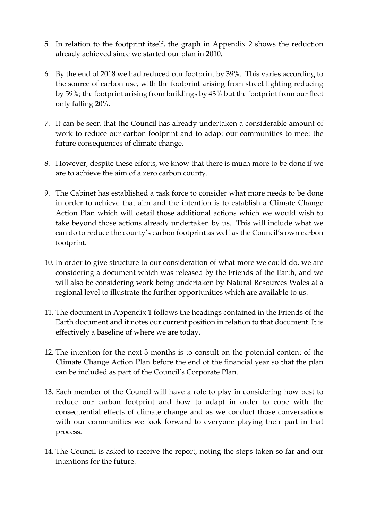- 5. In relation to the footprint itself, the graph in Appendix 2 shows the reduction already achieved since we started our plan in 2010.
- 6. By the end of 2018 we had reduced our footprint by 39%. This varies according to the source of carbon use, with the footprint arising from street lighting reducing by 59%; the footprint arising from buildings by 43% but the footprint from our fleet only falling 20%.
- 7. It can be seen that the Council has already undertaken a considerable amount of work to reduce our carbon footprint and to adapt our communities to meet the future consequences of climate change.
- 8. However, despite these efforts, we know that there is much more to be done if we are to achieve the aim of a zero carbon county.
- 9. The Cabinet has established a task force to consider what more needs to be done in order to achieve that aim and the intention is to establish a Climate Change Action Plan which will detail those additional actions which we would wish to take beyond those actions already undertaken by us. This will include what we can do to reduce the county's carbon footprint as well as the Council's own carbon footprint.
- 10. In order to give structure to our consideration of what more we could do, we are considering a document which was released by the Friends of the Earth, and we will also be considering work being undertaken by Natural Resources Wales at a regional level to illustrate the further opportunities which are available to us.
- 11. The document in Appendix 1 follows the headings contained in the Friends of the Earth document and it notes our current position in relation to that document. It is effectively a baseline of where we are today.
- 12. The intention for the next 3 months is to consult on the potential content of the Climate Change Action Plan before the end of the financial year so that the plan can be included as part of the Council's Corporate Plan.
- 13. Each member of the Council will have a role to plsy in considering how best to reduce our carbon footprint and how to adapt in order to cope with the consequential effects of climate change and as we conduct those conversations with our communities we look forward to everyone playing their part in that process.
- 14. The Council is asked to receive the report, noting the steps taken so far and our intentions for the future.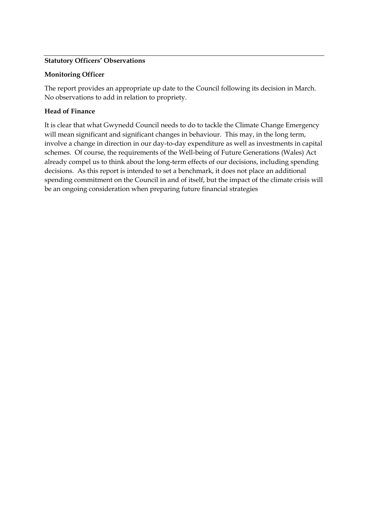#### **Statutory Officers' Observations**

#### **Monitoring Officer**

The report provides an appropriate up date to the Council following its decision in March. No observations to add in relation to propriety.

#### **Head of Finance**

It is clear that what Gwynedd Council needs to do to tackle the Climate Change Emergency will mean significant and significant changes in behaviour. This may, in the long term, involve a change in direction in our day-to-day expenditure as well as investments in capital schemes. Of course, the requirements of the Well-being of Future Generations (Wales) Act already compel us to think about the long-term effects of our decisions, including spending decisions. As this report is intended to set a benchmark, it does not place an additional spending commitment on the Council in and of itself, but the impact of the climate crisis will be an ongoing consideration when preparing future financial strategies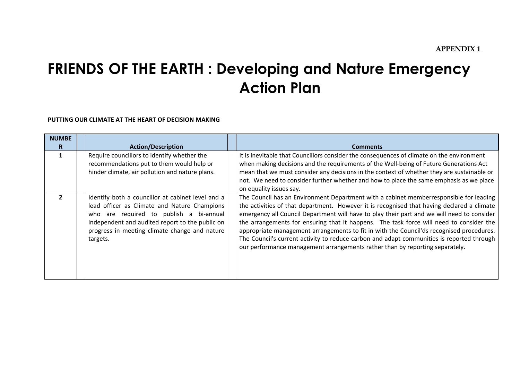# **FRIENDS OF THE EARTH : Developing and Nature Emergency Action Plan**

**PUTTING OUR CLIMATE AT THE HEART OF DECISION MAKING**

| <b>NUMBE</b><br>R. | <b>Action/Description</b>                                                                                                                                                                                                                                    | <b>Comments</b>                                                                                                                                                                                                                                                                                                                                                                                                                                                                                                                                                                                                                                        |
|--------------------|--------------------------------------------------------------------------------------------------------------------------------------------------------------------------------------------------------------------------------------------------------------|--------------------------------------------------------------------------------------------------------------------------------------------------------------------------------------------------------------------------------------------------------------------------------------------------------------------------------------------------------------------------------------------------------------------------------------------------------------------------------------------------------------------------------------------------------------------------------------------------------------------------------------------------------|
| 1                  | Require councillors to identify whether the<br>recommendations put to them would help or<br>hinder climate, air pollution and nature plans.                                                                                                                  | It is inevitable that Councillors consider the consequences of climate on the environment<br>when making decisions and the requirements of the Well-being of Future Generations Act<br>mean that we must consider any decisions in the context of whether they are sustainable or<br>not. We need to consider further whether and how to place the same emphasis as we place<br>on equality issues say.                                                                                                                                                                                                                                                |
| $\boldsymbol{z}$   | Identify both a councillor at cabinet level and a<br>lead officer as Climate and Nature Champions<br>who are required to publish a bi-annual<br>independent and audited report to the public on<br>progress in meeting climate change and nature<br>targets. | The Council has an Environment Department with a cabinet memberresponsible for leading<br>the activities of that department. However it is recognised that having declared a climate<br>emergency all Council Department will have to play their part and we will need to consider<br>the arrangements for ensuring that it happens. The task force will need to consider the<br>appropriate management arrangements to fit in with the Council'ds recognised procedures.<br>The Council's current activity to reduce carbon and adapt communities is reported through<br>our performance management arrangements rather than by reporting separately. |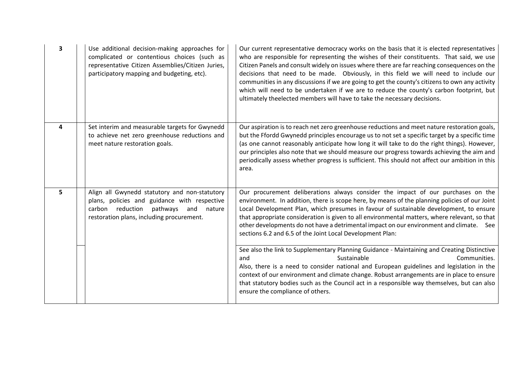| 3 | Use additional decision-making approaches for<br>complicated or contentious choices (such as<br>representative Citizen Assemblies/Citizen Juries,<br>participatory mapping and budgeting, etc). | Our current representative democracy works on the basis that it is elected representatives<br>who are responsible for representing the wishes of their constituents. That said, we use<br>Citizen Panels and consult widely on issues where there are far reaching consequences on the<br>decisions that need to be made. Obviously, in this field we will need to include our<br>communities in any discussions if we are going to get the county's citizens to own any activity<br>which will need to be undertaken if we are to reduce the county's carbon footprint, but<br>ultimately theelected members will have to take the necessary decisions. |
|---|-------------------------------------------------------------------------------------------------------------------------------------------------------------------------------------------------|----------------------------------------------------------------------------------------------------------------------------------------------------------------------------------------------------------------------------------------------------------------------------------------------------------------------------------------------------------------------------------------------------------------------------------------------------------------------------------------------------------------------------------------------------------------------------------------------------------------------------------------------------------|
| 4 | Set interim and measurable targets for Gwynedd<br>to achieve net zero greenhouse reductions and<br>meet nature restoration goals.                                                               | Our aspiration is to reach net zero greenhouse reductions and meet nature restoration goals,<br>but the Ffordd Gwynedd principles encourage us to not set a specific target by a specific time<br>(as one cannot reasonably anticipate how long it will take to do the right things). However,<br>our principles also note that we should measure our progress towards achieving the aim and<br>periodically assess whether progress is sufficient. This should not affect our ambition in this<br>area.                                                                                                                                                 |
| 5 | Align all Gwynedd statutory and non-statutory<br>plans, policies and guidance with respective<br>carbon reduction pathways<br>and<br>nature<br>restoration plans, including procurement.        | Our procurement deliberations always consider the impact of our purchases on the<br>environment. In addition, there is scope here, by means of the planning policies of our Joint<br>Local Development Plan, which presumes in favour of sustainable development, to ensure<br>that appropriate consideration is given to all environmental matters, where relevant, so that<br>other developments do not have a detrimental impact on our environment and climate. See<br>sections 6.2 and 6.5 of the Joint Local Development Plan:                                                                                                                     |
|   |                                                                                                                                                                                                 | See also the link to Supplementary Planning Guidance - Maintaining and Creating Distinctive<br>Sustainable<br>Communities.<br>and<br>Also, there is a need to consider national and European guidelines and legislation in the<br>context of our environment and climate change. Robust arrangements are in place to ensure<br>that statutory bodies such as the Council act in a responsible way themselves, but can also<br>ensure the compliance of others.                                                                                                                                                                                           |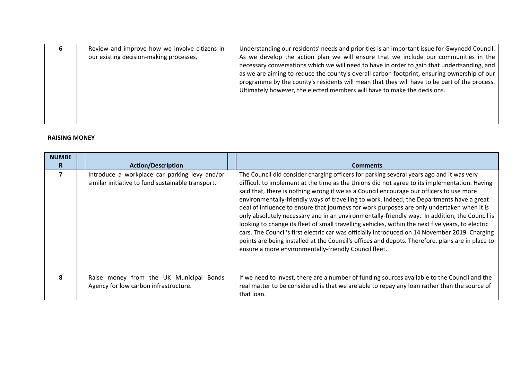| ь | Review and improve how we involve citizens in<br>our existing decision-making processes. | Understanding our residents' needs and priorities is an important issue for Gwynedd Council.<br>As we develop the action plan we will ensure that we include our communities in the<br>necessary conversations which we will need to have in order to gain that undertsanding, and<br>as we are aiming to reduce the county's overall carbon footprint, ensuring ownership of our<br>programme by the county's residents will mean that they will have to be part of the process.<br>Ultimately however, the elected members will have to make the decisions. |
|---|------------------------------------------------------------------------------------------|---------------------------------------------------------------------------------------------------------------------------------------------------------------------------------------------------------------------------------------------------------------------------------------------------------------------------------------------------------------------------------------------------------------------------------------------------------------------------------------------------------------------------------------------------------------|
|   |                                                                                          |                                                                                                                                                                                                                                                                                                                                                                                                                                                                                                                                                               |

#### **RAISING MONEY**

| <b>NUMBE</b><br>R. | <b>Action/Description</b>                                                                          | <b>Comments</b>                                                                                                                                                                                                                                                                                                                                                                                                                                                                                                                                                                                                                                                                                                                                                                                                                                                                                                                                     |
|--------------------|----------------------------------------------------------------------------------------------------|-----------------------------------------------------------------------------------------------------------------------------------------------------------------------------------------------------------------------------------------------------------------------------------------------------------------------------------------------------------------------------------------------------------------------------------------------------------------------------------------------------------------------------------------------------------------------------------------------------------------------------------------------------------------------------------------------------------------------------------------------------------------------------------------------------------------------------------------------------------------------------------------------------------------------------------------------------|
| 7                  | Introduce a workplace car parking levy and/or<br>similar initiative to fund sustainable transport. | The Council did consider charging officers for parking several years ago and it was very<br>difficult to implement at the time as the Unions did not agree to its implementation. Having<br>said that, there is nothing wrong if we as a Council encourage our officers to use more<br>environmentally-friendly ways of travelling to work. Indeed, the Departments have a great<br>deal of influence to ensure that journeys for work purposes are only undertaken when it is<br>only absolutely necessary and in an environmentally-friendly way. In addition, the Council is<br>looking to change its fleet of small travelling vehicles, within the next five years, to electric<br>cars. The Council's first electric car was officially introduced on 14 November 2019. Charging<br>points are being installed at the Council's offices and depots. Therefore, plans are in place to<br>ensure a more environmentally-friendly Council fleet. |
| 8                  | Raise money from the UK Municipal<br>Bonds<br>Agency for low carbon infrastructure.                | If we need to invest, there are a number of funding sources available to the Council and the<br>real matter to be considered is that we are able to repay any loan rather than the source of<br>that loan.                                                                                                                                                                                                                                                                                                                                                                                                                                                                                                                                                                                                                                                                                                                                          |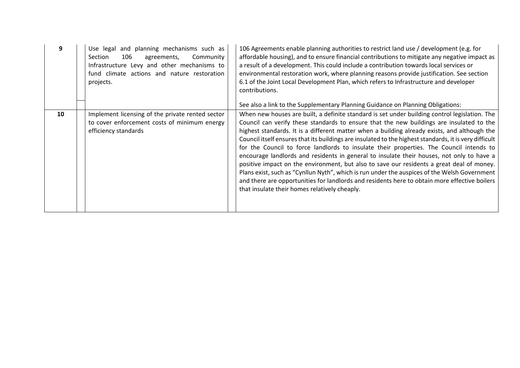| 9  | Use legal and planning mechanisms such as<br>106<br>Section<br>Community<br>agreements,<br>Infrastructure Levy and other mechanisms to<br>fund climate actions and nature restoration<br>projects. | 106 Agreements enable planning authorities to restrict land use / development (e.g. for<br>affordable housing), and to ensure financial contributions to mitigate any negative impact as<br>a result of a development. This could include a contribution towards local services or<br>environmental restoration work, where planning reasons provide justification. See section<br>6.1 of the Joint Local Development Plan, which refers to Infrastructure and developer<br>contributions.                                                                                                                                                                                                                                                                                                                                                                                                                                                                                                                                    |
|----|----------------------------------------------------------------------------------------------------------------------------------------------------------------------------------------------------|-------------------------------------------------------------------------------------------------------------------------------------------------------------------------------------------------------------------------------------------------------------------------------------------------------------------------------------------------------------------------------------------------------------------------------------------------------------------------------------------------------------------------------------------------------------------------------------------------------------------------------------------------------------------------------------------------------------------------------------------------------------------------------------------------------------------------------------------------------------------------------------------------------------------------------------------------------------------------------------------------------------------------------|
| 10 | Implement licensing of the private rented sector<br>to cover enforcement costs of minimum energy<br>efficiency standards                                                                           | See also a link to the Supplementary Planning Guidance on Planning Obligations:<br>When new houses are built, a definite standard is set under building control legislation. The<br>Council can verify these standards to ensure that the new buildings are insulated to the<br>highest standards. It is a different matter when a building already exists, and although the<br>Council itself ensures that its buildings are insulated to the highest standards, it is very difficult<br>for the Council to force landlords to insulate their properties. The Council intends to<br>encourage landlords and residents in general to insulate their houses, not only to have a<br>positive impact on the environment, but also to save our residents a great deal of money.<br>Plans exist, such as "Cynllun Nyth", which is run under the auspices of the Welsh Government<br>and there are opportunities for landlords and residents here to obtain more effective boilers<br>that insulate their homes relatively cheaply. |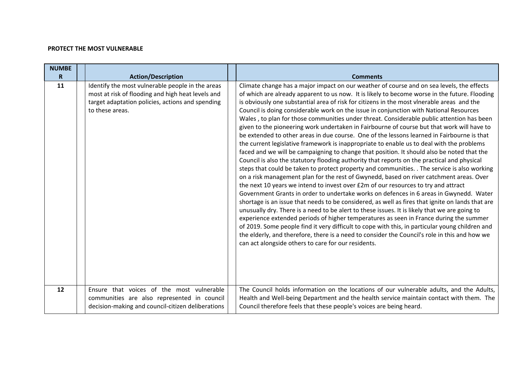#### **PROTECT THE MOST VULNERABLE**

| <b>NUMBE</b> |                                                                                                                                                                              |                                                                                                                                                                                                                                                                                                                                                                                                                                                                                                                                                                                                                                                                                                                                                                                                                                                                                                                                                                                                                                                                                                                                                                                                                                                                                                                                                                                                                                                                                                                                                                                                                                                                                                                                                                                                                                                                                                            |
|--------------|------------------------------------------------------------------------------------------------------------------------------------------------------------------------------|------------------------------------------------------------------------------------------------------------------------------------------------------------------------------------------------------------------------------------------------------------------------------------------------------------------------------------------------------------------------------------------------------------------------------------------------------------------------------------------------------------------------------------------------------------------------------------------------------------------------------------------------------------------------------------------------------------------------------------------------------------------------------------------------------------------------------------------------------------------------------------------------------------------------------------------------------------------------------------------------------------------------------------------------------------------------------------------------------------------------------------------------------------------------------------------------------------------------------------------------------------------------------------------------------------------------------------------------------------------------------------------------------------------------------------------------------------------------------------------------------------------------------------------------------------------------------------------------------------------------------------------------------------------------------------------------------------------------------------------------------------------------------------------------------------------------------------------------------------------------------------------------------------|
| R            | <b>Action/Description</b>                                                                                                                                                    | <b>Comments</b>                                                                                                                                                                                                                                                                                                                                                                                                                                                                                                                                                                                                                                                                                                                                                                                                                                                                                                                                                                                                                                                                                                                                                                                                                                                                                                                                                                                                                                                                                                                                                                                                                                                                                                                                                                                                                                                                                            |
| 11           | Identify the most vulnerable people in the areas<br>most at risk of flooding and high heat levels and<br>target adaptation policies, actions and spending<br>to these areas. | Climate change has a major impact on our weather of course and on sea levels, the effects<br>of which are already apparent to us now. It is likely to become worse in the future. Flooding<br>is obviously one substantial area of risk for citizens in the most vlnerable areas and the<br>Council is doing considerable work on the issue in conjunction with National Resources<br>Wales, to plan for those communities under threat. Considerable public attention has been<br>given to the pioneering work undertaken in Fairbourne of course but that work will have to<br>be extended to other areas in due course. One of the lessons learned in Fairbourne is that<br>the current legislative framework is inappropriate to enable us to deal with the problems<br>faced and we will be campaigning to change that position. It should also be noted that the<br>Council is also the statutory flooding authority that reports on the practical and physical<br>steps that could be taken to protect property and communities. . The service is also working<br>on a risk management plan for the rest of Gwynedd, based on river catchment areas. Over<br>the next 10 years we intend to invest over £2m of our resources to try and attract<br>Government Grants in order to undertake works on defences in 6 areas in Gwynedd. Water<br>shortage is an issue that needs to be considered, as well as fires that ignite on lands that are<br>unusually dry. There is a need to be alert to these issues. It is likely that we are going to<br>experience extended periods of higher temperatures as seen in France during the summer<br>of 2019. Some people find it very difficult to cope with this, in particular young children and<br>the elderly, and therefore, there is a need to consider the Council's role in this and how we<br>can act alongside others to care for our residents. |
| 12           | Ensure that voices of the most vulnerable<br>communities are also represented in council<br>decision-making and council-citizen deliberations                                | The Council holds information on the locations of our vulnerable adults, and the Adults,<br>Health and Well-being Department and the health service maintain contact with them. The<br>Council therefore feels that these people's voices are being heard.                                                                                                                                                                                                                                                                                                                                                                                                                                                                                                                                                                                                                                                                                                                                                                                                                                                                                                                                                                                                                                                                                                                                                                                                                                                                                                                                                                                                                                                                                                                                                                                                                                                 |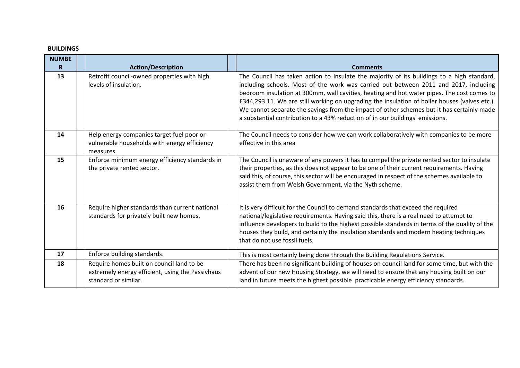#### **BUILDINGS**

| <b>NUMBE</b> |                                                                                                                       |                                                                                                                                                                                                                                                                                                                                                                                                                                                                                                                                                                 |
|--------------|-----------------------------------------------------------------------------------------------------------------------|-----------------------------------------------------------------------------------------------------------------------------------------------------------------------------------------------------------------------------------------------------------------------------------------------------------------------------------------------------------------------------------------------------------------------------------------------------------------------------------------------------------------------------------------------------------------|
| R.           | <b>Action/Description</b>                                                                                             | <b>Comments</b>                                                                                                                                                                                                                                                                                                                                                                                                                                                                                                                                                 |
| 13           | Retrofit council-owned properties with high<br>levels of insulation.                                                  | The Council has taken action to insulate the majority of its buildings to a high standard,<br>including schools. Most of the work was carried out between 2011 and 2017, including<br>bedroom insulation at 300mm, wall cavities, heating and hot water pipes. The cost comes to<br>£344,293.11. We are still working on upgrading the insulation of boiler houses (valves etc.).<br>We cannot separate the savings from the impact of other schemes but it has certainly made<br>a substantial contribution to a 43% reduction of in our buildings' emissions. |
| 14           | Help energy companies target fuel poor or<br>vulnerable households with energy efficiency<br>measures.                | The Council needs to consider how we can work collaboratively with companies to be more<br>effective in this area                                                                                                                                                                                                                                                                                                                                                                                                                                               |
| 15           | Enforce minimum energy efficiency standards in<br>the private rented sector.                                          | The Council is unaware of any powers it has to compel the private rented sector to insulate<br>their properties, as this does not appear to be one of their current requirements. Having<br>said this, of course, this sector will be encouraged in respect of the schemes available to<br>assist them from Welsh Government, via the Nyth scheme.                                                                                                                                                                                                              |
| 16           | Require higher standards than current national<br>standards for privately built new homes.                            | It is very difficult for the Council to demand standards that exceed the required<br>national/legislative requirements. Having said this, there is a real need to attempt to<br>influence developers to build to the highest possible standards in terms of the quality of the<br>houses they build, and certainly the insulation standards and modern heating techniques<br>that do not use fossil fuels.                                                                                                                                                      |
| 17           | Enforce building standards.                                                                                           | This is most certainly being done through the Building Regulations Service.                                                                                                                                                                                                                                                                                                                                                                                                                                                                                     |
| 18           | Require homes built on council land to be<br>extremely energy efficient, using the Passivhaus<br>standard or similar. | There has been no significant building of houses on council land for some time, but with the<br>advent of our new Housing Strategy, we will need to ensure that any housing built on our<br>land in future meets the highest possible practicable energy efficiency standards.                                                                                                                                                                                                                                                                                  |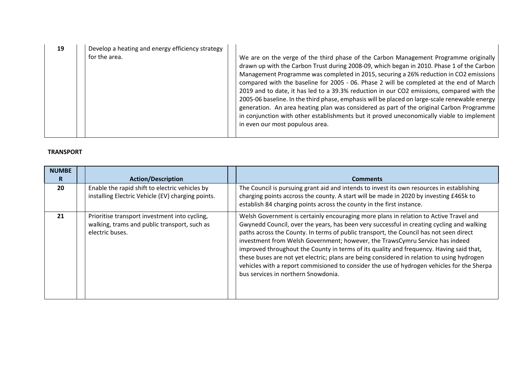| Develop a heating and energy efficiency strategy<br>19<br>for the area. | We are on the verge of the third phase of the Carbon Management Programme originally<br>drawn up with the Carbon Trust during 2008-09, which began in 2010. Phase 1 of the Carbon<br>Management Programme was completed in 2015, securing a 26% reduction in CO2 emissions<br>compared with the baseline for 2005 - 06. Phase 2 will be completed at the end of March<br>2019 and to date, it has led to a 39.3% reduction in our CO2 emissions, compared with the<br>2005-06 baseline. In the third phase, emphasis will be placed on large-scale renewable energy<br>generation. An area heating plan was considered as part of the original Carbon Programme<br>in conjunction with other establishments but it proved uneconomically viable to implement<br>in even our most populous area. |
|-------------------------------------------------------------------------|-------------------------------------------------------------------------------------------------------------------------------------------------------------------------------------------------------------------------------------------------------------------------------------------------------------------------------------------------------------------------------------------------------------------------------------------------------------------------------------------------------------------------------------------------------------------------------------------------------------------------------------------------------------------------------------------------------------------------------------------------------------------------------------------------|
|-------------------------------------------------------------------------|-------------------------------------------------------------------------------------------------------------------------------------------------------------------------------------------------------------------------------------------------------------------------------------------------------------------------------------------------------------------------------------------------------------------------------------------------------------------------------------------------------------------------------------------------------------------------------------------------------------------------------------------------------------------------------------------------------------------------------------------------------------------------------------------------|

#### **TRANSPORT**

| <b>NUMBE</b><br>R | <b>Action/Description</b>                                                                                        | <b>Comments</b>                                                                                                                                                                                                                                                                                                                                                                                                                                                                                                                                                                                                                                                                            |
|-------------------|------------------------------------------------------------------------------------------------------------------|--------------------------------------------------------------------------------------------------------------------------------------------------------------------------------------------------------------------------------------------------------------------------------------------------------------------------------------------------------------------------------------------------------------------------------------------------------------------------------------------------------------------------------------------------------------------------------------------------------------------------------------------------------------------------------------------|
| 20                | Enable the rapid shift to electric vehicles by<br>installing Electric Vehicle (EV) charging points.              | The Council is pursuing grant aid and intends to invest its own resources in establishing<br>charging points accross the county. A start will be made in 2020 by investing £465k to<br>establish 84 charging points across the county in the first instance.                                                                                                                                                                                                                                                                                                                                                                                                                               |
| 21                | Prioritise transport investment into cycling,<br>walking, trams and public transport, such as<br>electric buses. | Welsh Government is certainly encouraging more plans in relation to Active Travel and<br>Gwynedd Council, over the years, has been very successful in creating cycling and walking<br>paths across the County. In terms of public transport, the Council has not seen direct<br>investment from Welsh Government; however, the TrawsCymru Service has indeed<br>improved throughout the County in terms of its quality and frequency. Having said that,<br>these buses are not yet electric; plans are being considered in relation to using hydrogen<br>vehicles with a report commisioned to consider the use of hydrogen vehicles for the Sherpa<br>bus services in northern Snowdonia. |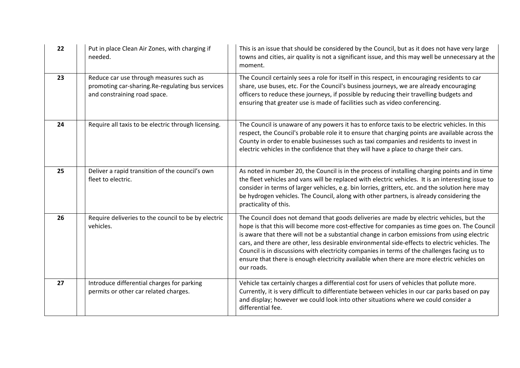| 22 | Put in place Clean Air Zones, with charging if<br>needed.                                                                   | This is an issue that should be considered by the Council, but as it does not have very large<br>towns and cities, air quality is not a significant issue, and this may well be unnecessary at the<br>moment.                                                                                                                                                                                                                                                                                                                                                                                          |
|----|-----------------------------------------------------------------------------------------------------------------------------|--------------------------------------------------------------------------------------------------------------------------------------------------------------------------------------------------------------------------------------------------------------------------------------------------------------------------------------------------------------------------------------------------------------------------------------------------------------------------------------------------------------------------------------------------------------------------------------------------------|
| 23 | Reduce car use through measures such as<br>promoting car-sharing.Re-regulating bus services<br>and constraining road space. | The Council certainly sees a role for itself in this respect, in encouraging residents to car<br>share, use buses, etc. For the Council's business journeys, we are already encouraging<br>officers to reduce these journeys, if possible by reducing their travelling budgets and<br>ensuring that greater use is made of facilities such as video conferencing.                                                                                                                                                                                                                                      |
| 24 | Require all taxis to be electric through licensing.                                                                         | The Council is unaware of any powers it has to enforce taxis to be electric vehicles. In this<br>respect, the Council's probable role it to ensure that charging points are available across the<br>County in order to enable businesses such as taxi companies and residents to invest in<br>electric vehicles in the confidence that they will have a place to charge their cars.                                                                                                                                                                                                                    |
| 25 | Deliver a rapid transition of the council's own<br>fleet to electric.                                                       | As noted in number 20, the Council is in the process of installing charging points and in time<br>the fleet vehicles and vans will be replaced with electric vehicles. It is an interesting issue to<br>consider in terms of larger vehicles, e.g. bin lorries, gritters, etc. and the solution here may<br>be hydrogen vehicles. The Council, along with other partners, is already considering the<br>practicality of this.                                                                                                                                                                          |
| 26 | Require deliveries to the council to be by electric<br>vehicles.                                                            | The Council does not demand that goods deliveries are made by electric vehicles, but the<br>hope is that this will become more cost-effective for companies as time goes on. The Council<br>is aware that there will not be a substantial change in carbon emissions from using electric<br>cars, and there are other, less desirable environmental side-effects to electric vehicles. The<br>Council is in discussions with electricity companies in terms of the challenges facing us to<br>ensure that there is enough electricity available when there are more electric vehicles on<br>our roads. |
| 27 | Introduce differential charges for parking<br>permits or other car related charges.                                         | Vehicle tax certainly charges a differential cost for users of vehicles that pollute more.<br>Currently, it is very difficult to differentiate between vehicles in our car parks based on pay<br>and display; however we could look into other situations where we could consider a<br>differential fee.                                                                                                                                                                                                                                                                                               |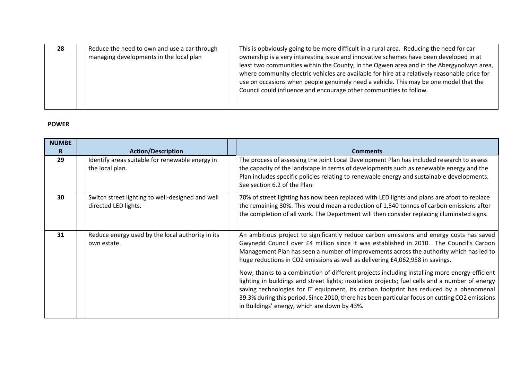| 28 | Reduce the need to own and use a car through<br>managing developments in the local plan | This is opbviously going to be more difficult in a rural area. Reducing the need for car<br>ownership is a very interesting issue and innovative schemes have been developed in at<br>least two communities within the County; in the Ogwen area and in the Abergynolwyn area,<br>where community electric vehicles are available for hire at a relatively reasonable price for<br>use on occasions when people genuinely need a vehicle. This may be one model that the<br>Council could influence and encourage other communities to follow. |
|----|-----------------------------------------------------------------------------------------|------------------------------------------------------------------------------------------------------------------------------------------------------------------------------------------------------------------------------------------------------------------------------------------------------------------------------------------------------------------------------------------------------------------------------------------------------------------------------------------------------------------------------------------------|
|----|-----------------------------------------------------------------------------------------|------------------------------------------------------------------------------------------------------------------------------------------------------------------------------------------------------------------------------------------------------------------------------------------------------------------------------------------------------------------------------------------------------------------------------------------------------------------------------------------------------------------------------------------------|

#### **POWER**

| <b>NUMBE</b><br>R. | <b>Action/Description</b>                                                | <b>Comments</b>                                                                                                                                                                                                                                                                                                                                                                                                                                                                                                                                                                                                                                                                                                                                                                                                |
|--------------------|--------------------------------------------------------------------------|----------------------------------------------------------------------------------------------------------------------------------------------------------------------------------------------------------------------------------------------------------------------------------------------------------------------------------------------------------------------------------------------------------------------------------------------------------------------------------------------------------------------------------------------------------------------------------------------------------------------------------------------------------------------------------------------------------------------------------------------------------------------------------------------------------------|
| 29                 | Identify areas suitable for renewable energy in<br>the local plan.       | The process of assessing the Joint Local Development Plan has included research to assess<br>the capacity of the landscape in terms of developments such as renewable energy and the<br>Plan includes specific policies relating to renewable energy and sustainable developments.<br>See section 6.2 of the Plan:                                                                                                                                                                                                                                                                                                                                                                                                                                                                                             |
| 30                 | Switch street lighting to well-designed and well<br>directed LED lights. | 70% of street lighting has now been replaced with LED lights and plans are afoot to replace<br>the remaining 30%. This would mean a reduction of 1,540 tonnes of carbon emissions after<br>the completion of all work. The Department will then consider replacing illuminated signs.                                                                                                                                                                                                                                                                                                                                                                                                                                                                                                                          |
| 31                 | Reduce energy used by the local authority in its<br>own estate.          | An ambitious project to significantly reduce carbon emissions and energy costs has saved<br>Gwynedd Council over £4 million since it was established in 2010. The Council's Carbon<br>Management Plan has seen a number of improvements across the authority which has led to<br>huge reductions in CO2 emissions as well as delivering £4,062,958 in savings.<br>Now, thanks to a combination of different projects including installing more energy-efficient<br>lighting in buildings and street lights; insulation projects; fuel cells and a number of energy<br>saving technologies for IT equipment, its carbon footprint has reduced by a phenomenal<br>39.3% during this period. Since 2010, there has been particular focus on cutting CO2 emissions<br>in Buildings' energy, which are down by 43%. |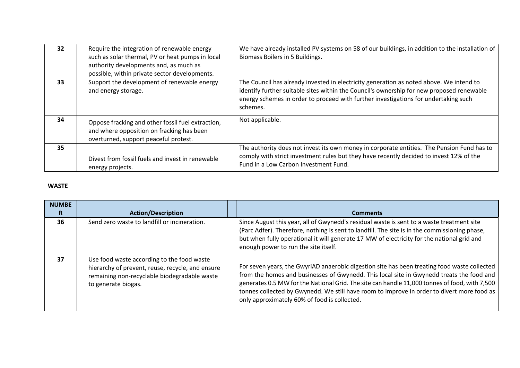| 32 | Require the integration of renewable energy<br>such as solar thermal, PV or heat pumps in local<br>authority developments and, as much as<br>possible, within private sector developments. | We have already installed PV systems on 58 of our buildings, in addition to the installation of<br>Biomass Boilers in 5 Buildings.                                                                                                                                                      |
|----|--------------------------------------------------------------------------------------------------------------------------------------------------------------------------------------------|-----------------------------------------------------------------------------------------------------------------------------------------------------------------------------------------------------------------------------------------------------------------------------------------|
| 33 | Support the development of renewable energy<br>and energy storage.                                                                                                                         | The Council has already invested in electricity generation as noted above. We intend to<br>identify further suitable sites within the Council's ownership for new proposed renewable<br>energy schemes in order to proceed with further investigations for undertaking such<br>schemes. |
| 34 | Oppose fracking and other fossil fuel extraction,<br>and where opposition on fracking has been<br>overturned, support peaceful protest.                                                    | Not applicable.                                                                                                                                                                                                                                                                         |
| 35 | Divest from fossil fuels and invest in renewable<br>energy projects.                                                                                                                       | The authority does not invest its own money in corporate entities. The Pension Fund has to<br>comply with strict investment rules but they have recently decided to invest 12% of the<br>Fund in a Low Carbon Investment Fund.                                                          |

#### **WASTE**

| <b>NUMBE</b> |                                                                                                                                                                       |                                                                                                                                                                                                                                                                                                                                                                                                                                         |
|--------------|-----------------------------------------------------------------------------------------------------------------------------------------------------------------------|-----------------------------------------------------------------------------------------------------------------------------------------------------------------------------------------------------------------------------------------------------------------------------------------------------------------------------------------------------------------------------------------------------------------------------------------|
| R            | <b>Action/Description</b>                                                                                                                                             | <b>Comments</b>                                                                                                                                                                                                                                                                                                                                                                                                                         |
| 36           | Send zero waste to landfill or incineration.                                                                                                                          | Since August this year, all of Gwynedd's residual waste is sent to a waste treatment site<br>(Parc Adfer). Therefore, nothing is sent to landfill. The site is in the commissioning phase,<br>but when fully operational it will generate 17 MW of electricity for the national grid and<br>enough power to run the site itself.                                                                                                        |
| 37           | Use food waste according to the food waste<br>hierarchy of prevent, reuse, recycle, and ensure<br>remaining non-recyclable biodegradable waste<br>to generate biogas. | For seven years, the GwyriAD anaerobic digestion site has been treating food waste collected<br>from the homes and businesses of Gwynedd. This local site in Gwynedd treats the food and<br>generates 0.5 MW for the National Grid. The site can handle 11,000 tonnes of food, with 7,500<br>tonnes collected by Gwynedd. We still have room to improve in order to divert more food as<br>only approximately 60% of food is collected. |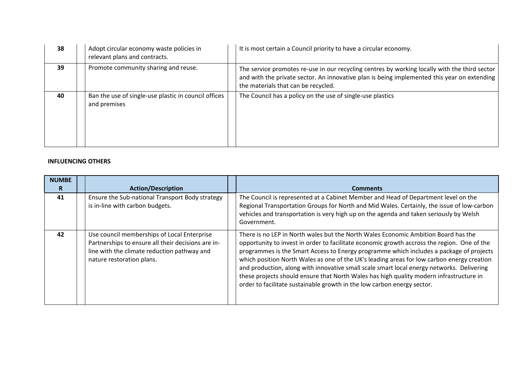| 38 | Adopt circular economy waste policies in<br>relevant plans and contracts. | It is most certain a Council priority to have a circular economy.                                                                                                                                                                   |
|----|---------------------------------------------------------------------------|-------------------------------------------------------------------------------------------------------------------------------------------------------------------------------------------------------------------------------------|
| 39 | Promote community sharing and reuse.                                      | The service promotes re-use in our recycling centres by working locally with the third sector<br>and with the private sector. An innovative plan is being implemented this year on extending<br>the materials that can be recycled. |
| 40 | Ban the use of single-use plastic in council offices<br>and premises      | The Council has a policy on the use of single-use plastics                                                                                                                                                                          |

#### **INFLUENCING OTHERS**

| <b>NUMBE</b> |                                                                                                                                                                               |                                                                                                                                                                                                                                                                                                                                                                                                                                                                                                                                                                                                                                               |
|--------------|-------------------------------------------------------------------------------------------------------------------------------------------------------------------------------|-----------------------------------------------------------------------------------------------------------------------------------------------------------------------------------------------------------------------------------------------------------------------------------------------------------------------------------------------------------------------------------------------------------------------------------------------------------------------------------------------------------------------------------------------------------------------------------------------------------------------------------------------|
| R            | <b>Action/Description</b>                                                                                                                                                     | <b>Comments</b>                                                                                                                                                                                                                                                                                                                                                                                                                                                                                                                                                                                                                               |
| 41           | Ensure the Sub-national Transport Body strategy<br>is in-line with carbon budgets.                                                                                            | The Council is represented at a Cabinet Member and Head of Department level on the<br>Regional Transportation Groups for North and Mid Wales. Certainly, the issue of low-carbon                                                                                                                                                                                                                                                                                                                                                                                                                                                              |
|              |                                                                                                                                                                               | vehicles and transportation is very high up on the agenda and taken seriously by Welsh<br>Government.                                                                                                                                                                                                                                                                                                                                                                                                                                                                                                                                         |
| 42           | Use council memberships of Local Enterprise<br>Partnerships to ensure all their decisions are in-<br>line with the climate reduction pathway and<br>nature restoration plans. | There is no LEP in North wales but the North Wales Economic Ambition Board has the<br>opportunity to invest in order to facilitate economic growth accross the region. One of the<br>programmes is the Smart Access to Energy programme which includes a package of projects<br>which position North Wales as one of the UK's leading areas for low carbon energy creation<br>and production, along with innovative small scale smart local energy networks. Delivering<br>these projects should ensure that North Wales has high quality modern infrastructure in<br>order to facilitate sustainable growth in the low carbon energy sector. |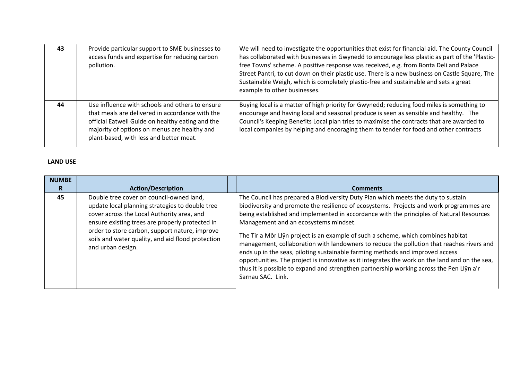| 43 | Provide particular support to SME businesses to<br>access funds and expertise for reducing carbon<br>pollution.                                                                                                                                   | We will need to investigate the opportunities that exist for financial aid. The County Council<br>has collaborated with businesses in Gwynedd to encourage less plastic as part of the 'Plastic-<br>free Towns' scheme. A positive response was received, e.g. from Bonta Deli and Palace<br>Street Pantri, to cut down on their plastic use. There is a new business on Castle Square, The<br>Sustainable Weigh, which is completely plastic-free and sustainable and sets a great<br>example to other businesses. |
|----|---------------------------------------------------------------------------------------------------------------------------------------------------------------------------------------------------------------------------------------------------|---------------------------------------------------------------------------------------------------------------------------------------------------------------------------------------------------------------------------------------------------------------------------------------------------------------------------------------------------------------------------------------------------------------------------------------------------------------------------------------------------------------------|
| 44 | Use influence with schools and others to ensure<br>that meals are delivered in accordance with the<br>official Eatwell Guide on healthy eating and the<br>majority of options on menus are healthy and<br>plant-based, with less and better meat. | Buying local is a matter of high priority for Gwynedd; reducing food miles is something to<br>encourage and having local and seasonal produce is seen as sensible and healthy. The<br>Council's Keeping Benefits Local plan tries to maximise the contracts that are awarded to<br>local companies by helping and encoraging them to tender for food and other contracts                                                                                                                                            |

#### **LAND USE**

| <b>NUMBE</b> |                                                                                                                                                                                                                                                                                                                          |                                                                                                                                                                                                                                                                                                                                                                                                                                                                                                                                                                                                                                                                                                                                                                                                         |
|--------------|--------------------------------------------------------------------------------------------------------------------------------------------------------------------------------------------------------------------------------------------------------------------------------------------------------------------------|---------------------------------------------------------------------------------------------------------------------------------------------------------------------------------------------------------------------------------------------------------------------------------------------------------------------------------------------------------------------------------------------------------------------------------------------------------------------------------------------------------------------------------------------------------------------------------------------------------------------------------------------------------------------------------------------------------------------------------------------------------------------------------------------------------|
| R            | <b>Action/Description</b>                                                                                                                                                                                                                                                                                                | <b>Comments</b>                                                                                                                                                                                                                                                                                                                                                                                                                                                                                                                                                                                                                                                                                                                                                                                         |
| 45           | Double tree cover on council-owned land,<br>update local planning strategies to double tree<br>cover across the Local Authority area, and<br>ensure existing trees are properly protected in<br>order to store carbon, support nature, improve<br>soils and water quality, and aid flood protection<br>and urban design. | The Council has prepared a Biodiversity Duty Plan which meets the duty to sustain<br>biodiversity and promote the resilience of ecosystems. Projects and work programmes are<br>being established and implemented in accordance with the principles of Natural Resources<br>Management and an ecosystems mindset.<br>The Tir a Môr Llŷn project is an example of such a scheme, which combines habitat<br>management, collaboration with landowners to reduce the pollution that reaches rivers and<br>ends up in the seas, piloting sustainable farming methods and improved access<br>opportunities. The project is innovative as it integrates the work on the land and on the sea,<br>thus it is possible to expand and strengthen partnership working across the Pen Llŷn a'r<br>Sarnau SAC. Link. |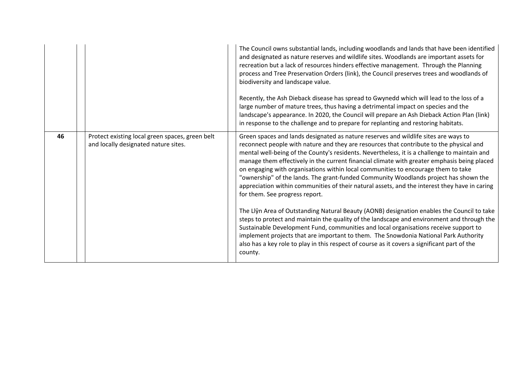|    |                                                                                         | The Council owns substantial lands, including woodlands and lands that have been identified<br>and designated as nature reserves and wildlife sites. Woodlands are important assets for<br>recreation but a lack of resources hinders effective management. Through the Planning<br>process and Tree Preservation Orders (link), the Council preserves trees and woodlands of<br>biodiversity and landscape value.<br>Recently, the Ash Dieback disease has spread to Gwynedd which will lead to the loss of a<br>large number of mature trees, thus having a detrimental impact on species and the<br>landscape's appearance. In 2020, the Council will prepare an Ash Dieback Action Plan (link)<br>in response to the challenge and to prepare for replanting and restoring habitats.                                                                                                                                                                                                                                                                                                                                                                                             |
|----|-----------------------------------------------------------------------------------------|--------------------------------------------------------------------------------------------------------------------------------------------------------------------------------------------------------------------------------------------------------------------------------------------------------------------------------------------------------------------------------------------------------------------------------------------------------------------------------------------------------------------------------------------------------------------------------------------------------------------------------------------------------------------------------------------------------------------------------------------------------------------------------------------------------------------------------------------------------------------------------------------------------------------------------------------------------------------------------------------------------------------------------------------------------------------------------------------------------------------------------------------------------------------------------------|
| 46 | Protect existing local green spaces, green belt<br>and locally designated nature sites. | Green spaces and lands designated as nature reserves and wildlife sites are ways to<br>reconnect people with nature and they are resources that contribute to the physical and<br>mental well-being of the County's residents. Nevertheless, it is a challenge to maintain and<br>manage them effectively in the current financial climate with greater emphasis being placed<br>on engaging with organisations within local communities to encourage them to take<br>"ownership" of the lands. The grant-funded Community Woodlands project has shown the<br>appreciation within communities of their natural assets, and the interest they have in caring<br>for them. See progress report.<br>The Llŷn Area of Outstanding Natural Beauty (AONB) designation enables the Council to take<br>steps to protect and maintain the quality of the landscape and environment and through the<br>Sustainable Development Fund, communities and local organisations receive support to<br>implement projects that are important to them. The Snowdonia National Park Authority<br>also has a key role to play in this respect of course as it covers a significant part of the<br>county. |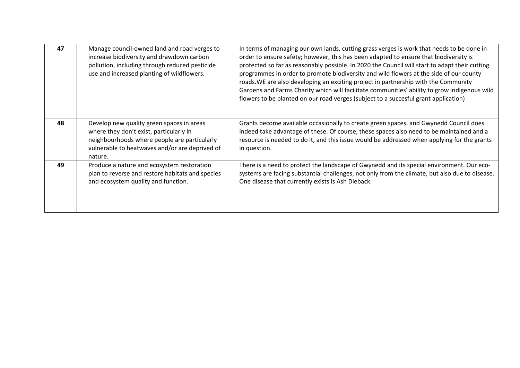| 47 | Manage council-owned land and road verges to<br>increase biodiversity and drawdown carbon<br>pollution, including through reduced pesticide<br>use and increased planting of wildflowers.         | In terms of managing our own lands, cutting grass verges is work that needs to be done in<br>order to ensure safety; however, this has been adapted to ensure that biodiversity is<br>protected so far as reasonably possible. In 2020 the Council will start to adapt their cutting<br>programmes in order to promote biodiversity and wild flowers at the side of our county<br>roads. WE are also developing an exciting project in partnership with the Community<br>Gardens and Farms Charity which will facilitate communities' ability to grow indigenous wild<br>flowers to be planted on our road verges (subject to a succesful grant application) |
|----|---------------------------------------------------------------------------------------------------------------------------------------------------------------------------------------------------|--------------------------------------------------------------------------------------------------------------------------------------------------------------------------------------------------------------------------------------------------------------------------------------------------------------------------------------------------------------------------------------------------------------------------------------------------------------------------------------------------------------------------------------------------------------------------------------------------------------------------------------------------------------|
| 48 | Develop new quality green spaces in areas<br>where they don't exist, particularly in<br>neighbourhoods where people are particularly<br>vulnerable to heatwaves and/or are deprived of<br>nature. | Grants become available occasionally to create green spaces, and Gwynedd Council does<br>indeed take advantage of these. Of course, these spaces also need to be maintained and a<br>resource is needed to do it, and this issue would be addressed when applying for the grants<br>in question.                                                                                                                                                                                                                                                                                                                                                             |
| 49 | Produce a nature and ecosystem restoration<br>plan to reverse and restore habitats and species<br>and ecosystem quality and function.                                                             | There is a need to protect the landscape of Gwynedd and its special environment. Our eco-<br>systems are facing substantial challenges, not only from the climate, but also due to disease.<br>One disease that currently exists is Ash Dieback.                                                                                                                                                                                                                                                                                                                                                                                                             |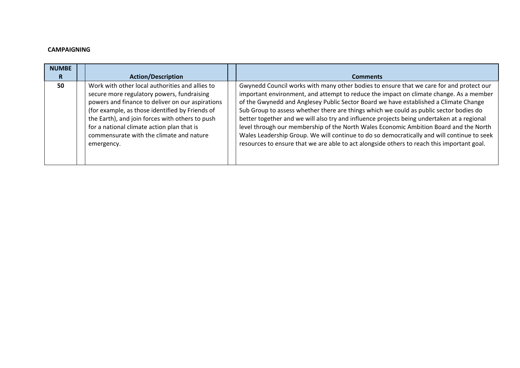#### **CAMPAIGNING**

| <b>NUMBE</b> |                                                                                                                                                                                                                                                                                                                                                                 |                                                                                                                                                                                                                                                                                                                                                                                                                                                                                                                                                                                                                                                                                                                                                        |
|--------------|-----------------------------------------------------------------------------------------------------------------------------------------------------------------------------------------------------------------------------------------------------------------------------------------------------------------------------------------------------------------|--------------------------------------------------------------------------------------------------------------------------------------------------------------------------------------------------------------------------------------------------------------------------------------------------------------------------------------------------------------------------------------------------------------------------------------------------------------------------------------------------------------------------------------------------------------------------------------------------------------------------------------------------------------------------------------------------------------------------------------------------------|
| R            | <b>Action/Description</b>                                                                                                                                                                                                                                                                                                                                       | <b>Comments</b>                                                                                                                                                                                                                                                                                                                                                                                                                                                                                                                                                                                                                                                                                                                                        |
| 50           | Work with other local authorities and allies to<br>secure more regulatory powers, fundraising<br>powers and finance to deliver on our aspirations<br>(for example, as those identified by Friends of<br>the Earth), and join forces with others to push<br>for a national climate action plan that is<br>commensurate with the climate and nature<br>emergency. | Gwynedd Council works with many other bodies to ensure that we care for and protect our<br>important environment, and attempt to reduce the impact on climate change. As a member<br>of the Gwynedd and Anglesey Public Sector Board we have established a Climate Change<br>Sub Group to assess whether there are things which we could as public sector bodies do<br>better together and we will also try and influence projects being undertaken at a regional<br>level through our membership of the North Wales Economic Ambition Board and the North<br>Wales Leadership Group. We will continue to do so democratically and will continue to seek<br>resources to ensure that we are able to act alongside others to reach this important goal. |